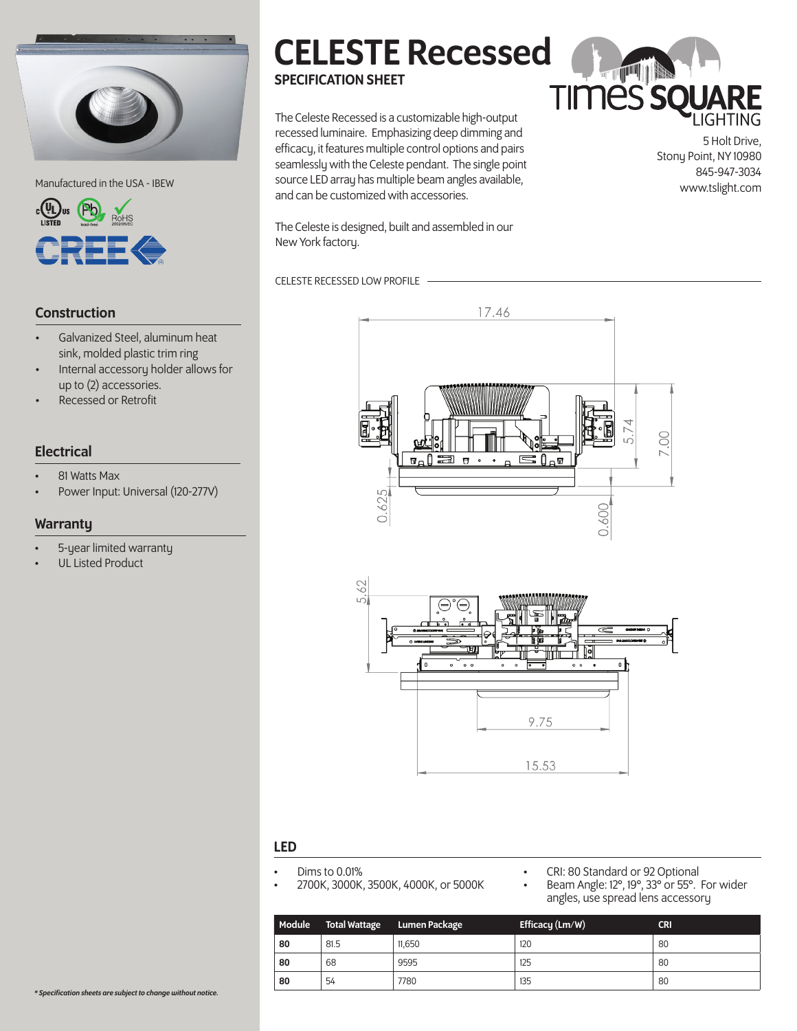



#### Construction

- Galvanized Steel, aluminum heat sink, molded plastic trim ring
- Internal accessory holder allows for up to (2) accessories.
- Recessed or Retrofit

#### **Electrical**

- 81 Watts Max
- Power Input: Universal (120-277V)

#### **Warranty**

- 5-year limited warranty
- UL Listed Product

# CELESTE Recessed SPECIFICATION SHEET

Manufactured in the USA - IBEW source LED array has multiple beam angles available,<br>www.tslight.com The Celeste Recessed is a customizable high-output recessed luminaire. Emphasizing deep dimming and efficacy, it features multiple control options and pairs seamlessly with the Celeste pendant. The single point and can be customized with accessories.

**TIMES SQUARE** 

5 Holt Drive, Stony Point, NY 10980 845-947-3034

The Celeste is designed, built and assembled in our New York factory.

#### CELESTE RECESSED LOW PROFILE





#### LED

- 
- Dims to 0.01% 2700K, 3000K, 3500K, 4000K, or 5000K
- - CRI: 80 Standard or 92 Optional<br>Beam Angle: 12°, 19°, 33° or 55°. For wider angles, use spread lens accessory

| Module | <b>Total Wattage</b> | <b>Lumen Package</b> | Efficacy (Lm/W) | <b>CRI</b> |
|--------|----------------------|----------------------|-----------------|------------|
| 80     | 81.5                 | 11.650               | 120             | 80         |
| 80     | 68                   | 9595                 | 125             | 80         |
| 80     | 54                   | 7780                 | 135             | 80         |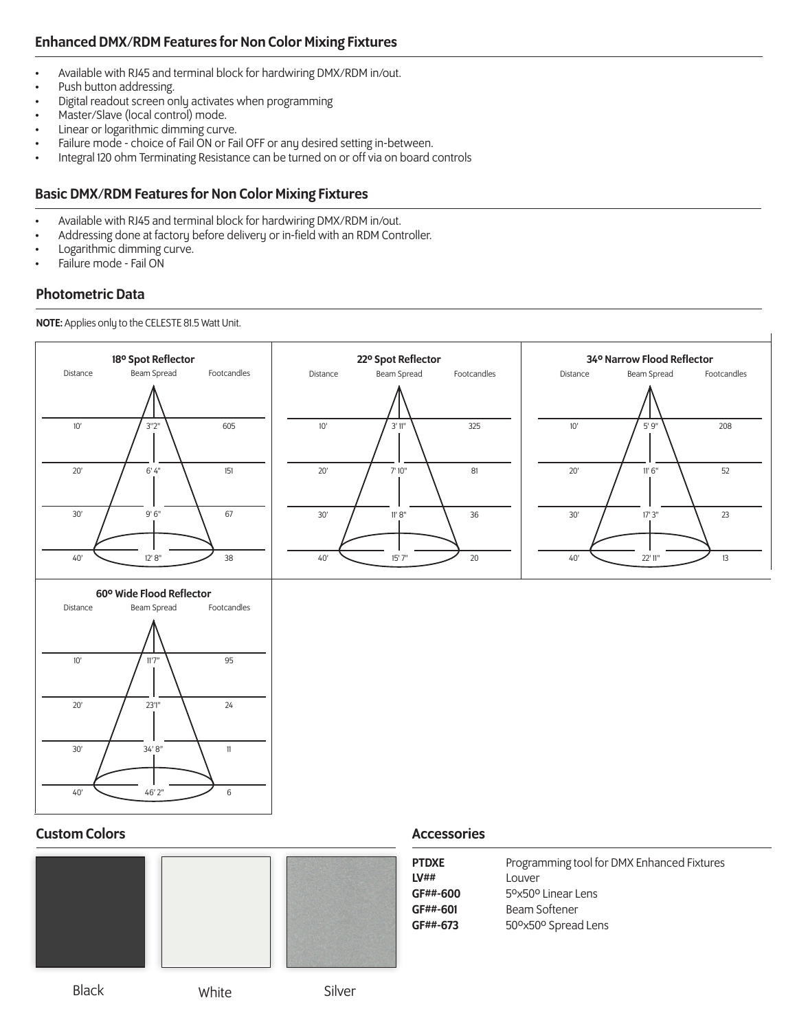### Enhanced DMX/RDM Features for Non Color Mixing Fixtures

- Available with RJ45 and terminal block for hardwiring DMX/RDM in/out.
- Push button addressing.
- Digital readout screen only activates when programming
- Master/Slave (local control) mode.
- Linear or logarithmic dimming curve.
- Failure mode choice of Fail ON or Fail OFF or any desired setting in-between.
- Integral 120 ohm Terminating Resistance can be turned on or off via on board controls

#### Basic DMX/RDM Features for Non Color Mixing Fixtures

- Available with RJ45 and terminal block for hardwiring DMX/RDM in/out.
- Addressing done at factory before delivery or in-field with an RDM Controller.
- Logarithmic dimming curve.
- Failure mode Fail ON

#### Photometric Data

NOTE: Applies only to the CELESTE 81.5 Watt Unit.









| PTDXE    | Programming tool for DMX Enhanced Fixtures  |
|----------|---------------------------------------------|
| LV##     | Louver                                      |
| GF##-600 | 5 <sup>o</sup> x50 <sup>o</sup> Linear Lens |
| GF##-601 | Beam Softener                               |
| GF##-673 | 50° Spread Lens                             |
|          |                                             |

### Black White Silver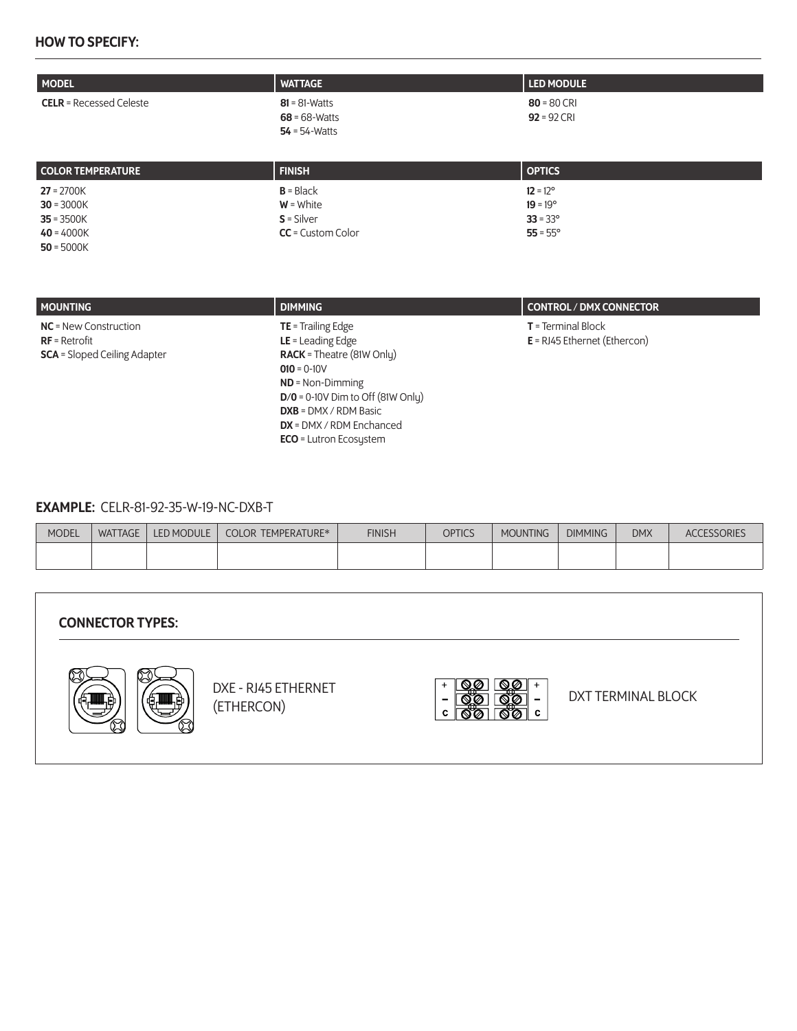#### HOW TO SPECIFY:

| <b>MODEL</b>                   | <b>WATTAGE</b>                                           | <b>LED MODULE</b>              |
|--------------------------------|----------------------------------------------------------|--------------------------------|
| <b>CELR</b> = Recessed Celeste | $81 - 81$ -Watts<br>$68 = 68$ -Watts<br>$54 = 54$ -Watts | $80 = 80$ CRI<br>$92 = 92$ CRI |

| <b>COLOR TEMPERATURE</b> | <b>FINISH</b>       | <b>OPTICS</b>     |
|--------------------------|---------------------|-------------------|
| $27 = 2700K$             | $B = Black$         | $12 = 12^{\circ}$ |
| $30 = 3000K$             | $W = White$         | $19 = 19^{\circ}$ |
| $35 = 3500K$             | $S =$ Silver        | $33 = 33^{\circ}$ |
| $40 = 4000K$             | $CC =$ Custom Color | $55 = 55^{\circ}$ |
| $50 - 5000K$             |                     |                   |

| <b>MOUNTING</b>                                                                   | <b>DIMMING</b>                                                                                                                                                                                                                                          | CONTROL / DMX CONNECTOR                                 |
|-----------------------------------------------------------------------------------|---------------------------------------------------------------------------------------------------------------------------------------------------------------------------------------------------------------------------------------------------------|---------------------------------------------------------|
| $NC = New Construction$<br>$RF = Retrofit$<br><b>SCA</b> = Sloped Ceiling Adapter | $TE = Training Edge$<br>$LE =$ Leading Edge<br><b>RACK</b> = Theatre (81W Only)<br>$010 = 0-10V$<br>$ND = Non-Dimming$<br>$D/O = 0-10V$ Dim to Off (81W Only)<br>$DXB = DMX / RDM Basic$<br>$DX = DMX / RDM$ Enchanced<br><b>ECO</b> = Lutron Ecosystem | $T = Terminal Block$<br>$E = R$ J45 Ethernet (Ethercon) |

#### EXAMPLE: CELR-81-92-35-W-19-NC-DXB-T

| <b>MODEL</b> | <b>WATTAGE</b> | <b>LED MODULE</b> | <b>COLOR TEMPERATURE*</b> | <b>FINISH</b> | <b>OPTICS</b> | <b>MOUNTING</b> | <b>DIMMING</b> | <b>DMX</b> | CESSORIES<br>AC( |
|--------------|----------------|-------------------|---------------------------|---------------|---------------|-----------------|----------------|------------|------------------|
|              |                |                   |                           |               |               |                 |                |            |                  |

| <b>CONNECTOR TYPES:</b> |                                   |   |                    |
|-------------------------|-----------------------------------|---|--------------------|
|                         | DXE - RJ45 ETHERNET<br>(ETHERCON) | - | DXT TERMINAL BLOCK |